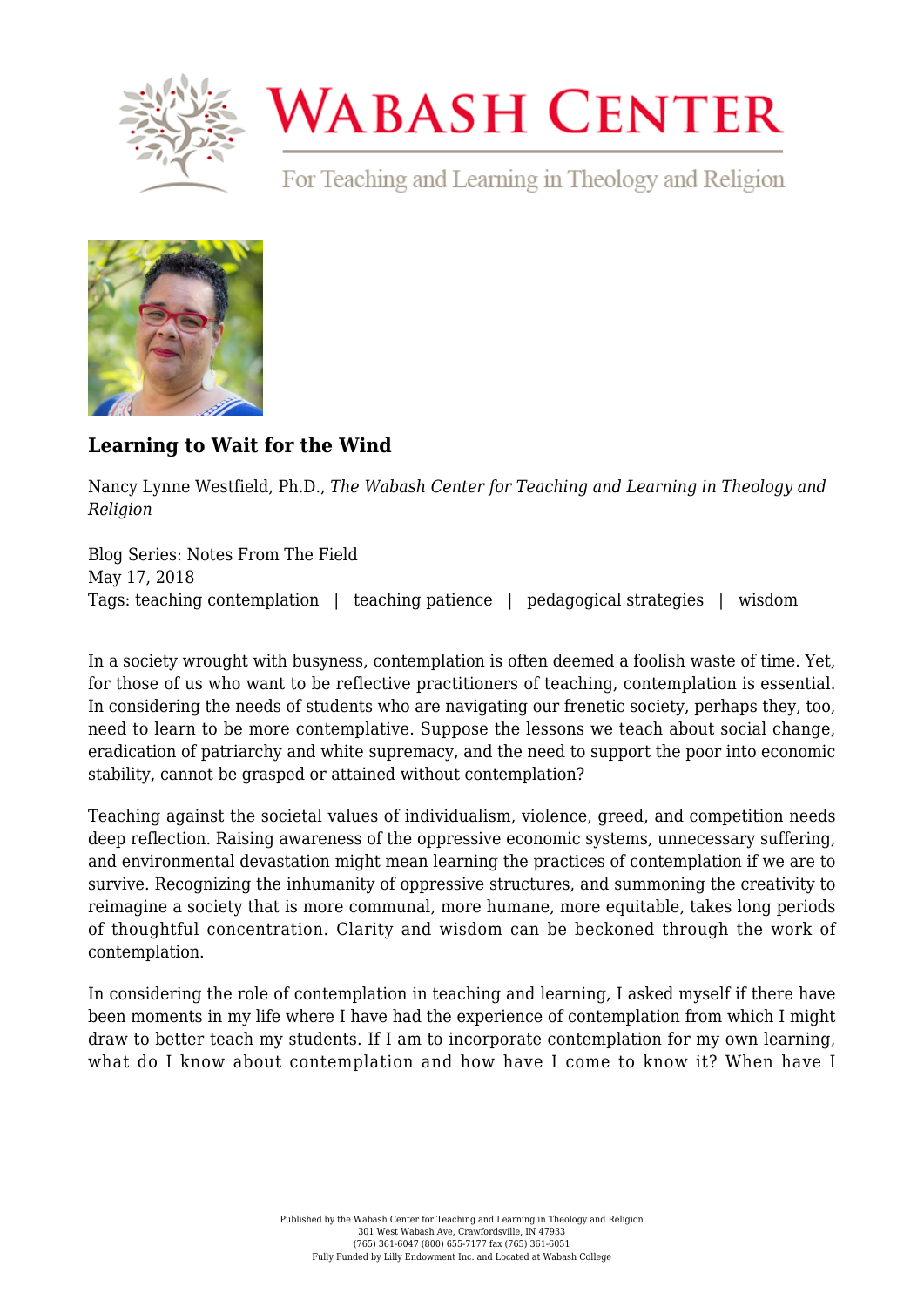

## **WABASH CENTER**

For Teaching and Learning in Theology and Religion



## **[Learning to Wait for the Wind](https://www.wabashcenter.wabash.edu/2018/05/learning-to-wait-for-the-wind/)**

Nancy Lynne Westfield, Ph.D., *The Wabash Center for Teaching and Learning in Theology and Religion*

Blog Series: Notes From The Field May 17, 2018 Tags: teaching contemplation | teaching patience | pedagogical strategies | wisdom

In a society wrought with busyness, contemplation is often deemed a foolish waste of time. Yet, for those of us who want to be reflective practitioners of teaching, contemplation is essential. In considering the needs of students who are navigating our frenetic society, perhaps they, too, need to learn to be more contemplative. Suppose the lessons we teach about social change, eradication of patriarchy and white supremacy, and the need to support the poor into economic stability, cannot be grasped or attained without contemplation?

Teaching against the societal values of individualism, violence, greed, and competition needs deep reflection. Raising awareness of the oppressive economic systems, unnecessary suffering, and environmental devastation might mean learning the practices of contemplation if we are to survive. Recognizing the inhumanity of oppressive structures, and summoning the creativity to reimagine a society that is more communal, more humane, more equitable, takes long periods of thoughtful concentration. Clarity and wisdom can be beckoned through the work of contemplation.

In considering the role of contemplation in teaching and learning, I asked myself if there have been moments in my life where I have had the experience of contemplation from which I might draw to better teach my students. If I am to incorporate contemplation for my own learning, what do I know about contemplation and how have I come to know it? When have I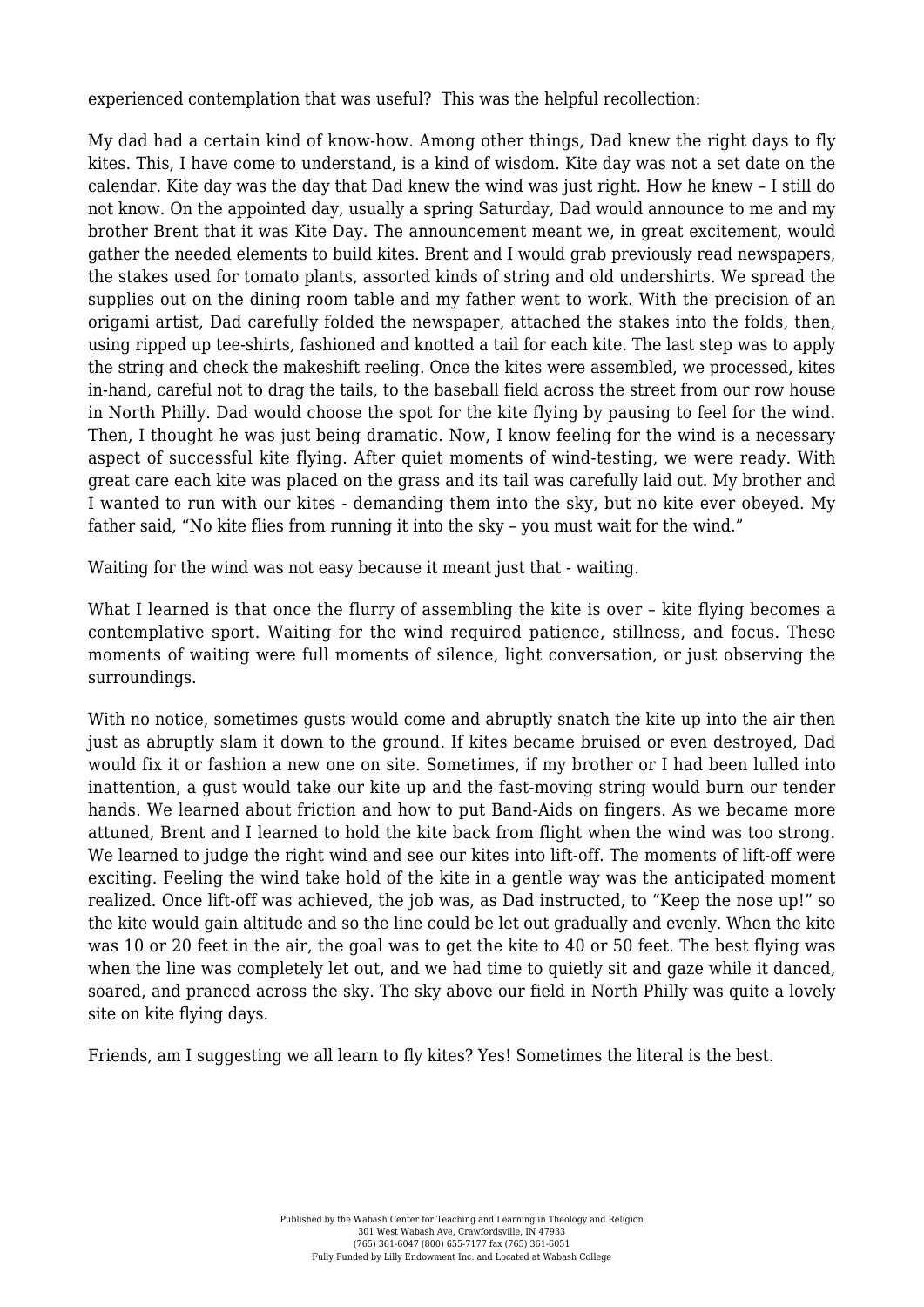experienced contemplation that was useful? This was the helpful recollection:

My dad had a certain kind of know-how. Among other things, Dad knew the right days to fly kites. This, I have come to understand, is a kind of wisdom. Kite day was not a set date on the calendar. Kite day was the day that Dad knew the wind was just right. How he knew – I still do not know. On the appointed day, usually a spring Saturday, Dad would announce to me and my brother Brent that it was Kite Day. The announcement meant we, in great excitement, would gather the needed elements to build kites. Brent and I would grab previously read newspapers, the stakes used for tomato plants, assorted kinds of string and old undershirts. We spread the supplies out on the dining room table and my father went to work. With the precision of an origami artist, Dad carefully folded the newspaper, attached the stakes into the folds, then, using ripped up tee-shirts, fashioned and knotted a tail for each kite. The last step was to apply the string and check the makeshift reeling. Once the kites were assembled, we processed, kites in-hand, careful not to drag the tails, to the baseball field across the street from our row house in North Philly. Dad would choose the spot for the kite flying by pausing to feel for the wind. Then, I thought he was just being dramatic. Now, I know feeling for the wind is a necessary aspect of successful kite flying. After quiet moments of wind-testing, we were ready. With great care each kite was placed on the grass and its tail was carefully laid out. My brother and I wanted to run with our kites - demanding them into the sky, but no kite ever obeyed. My father said, "No kite flies from running it into the sky – you must wait for the wind."

Waiting for the wind was not easy because it meant just that - waiting.

What I learned is that once the flurry of assembling the kite is over - kite flying becomes a contemplative sport. Waiting for the wind required patience, stillness, and focus. These moments of waiting were full moments of silence, light conversation, or just observing the surroundings.

With no notice, sometimes gusts would come and abruptly snatch the kite up into the air then just as abruptly slam it down to the ground. If kites became bruised or even destroyed, Dad would fix it or fashion a new one on site. Sometimes, if my brother or I had been lulled into inattention, a gust would take our kite up and the fast-moving string would burn our tender hands. We learned about friction and how to put Band-Aids on fingers. As we became more attuned, Brent and I learned to hold the kite back from flight when the wind was too strong. We learned to judge the right wind and see our kites into lift-off. The moments of lift-off were exciting. Feeling the wind take hold of the kite in a gentle way was the anticipated moment realized. Once lift-off was achieved, the job was, as Dad instructed, to "Keep the nose up!" so the kite would gain altitude and so the line could be let out gradually and evenly. When the kite was 10 or 20 feet in the air, the goal was to get the kite to 40 or 50 feet. The best flying was when the line was completely let out, and we had time to quietly sit and gaze while it danced, soared, and pranced across the sky. The sky above our field in North Philly was quite a lovely site on kite flying days.

Friends, am I suggesting we all learn to fly kites? Yes! Sometimes the literal is the best.